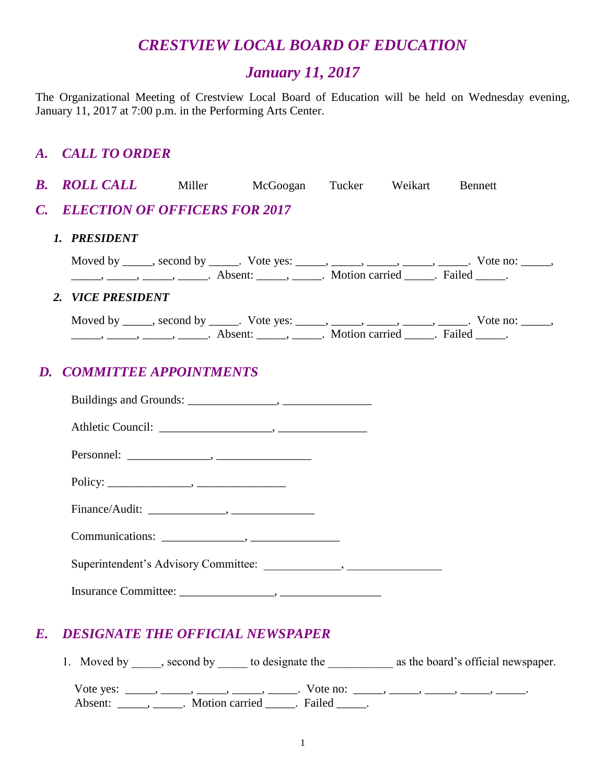# *CRESTVIEW LOCAL BOARD OF EDUCATION*

## *January 11, 2017*

The Organizational Meeting of Crestview Local Board of Education will be held on Wednesday evening, January 11, 2017 at 7:00 p.m. in the Performing Arts Center.

## *A. CALL TO ORDER*

| $\boldsymbol{B}$ . | <b>ROLL CALL</b> Miller McGoogan Tucker Weikart |                                                                                                                                                                                                                                                                                                                                                                                                                             |  | <b>Bennett</b>                                                                                |
|--------------------|-------------------------------------------------|-----------------------------------------------------------------------------------------------------------------------------------------------------------------------------------------------------------------------------------------------------------------------------------------------------------------------------------------------------------------------------------------------------------------------------|--|-----------------------------------------------------------------------------------------------|
| $\mathcal{C}$ .    | <b>ELECTION OF OFFICERS FOR 2017</b>            |                                                                                                                                                                                                                                                                                                                                                                                                                             |  |                                                                                               |
|                    | 1. PRESIDENT                                    |                                                                                                                                                                                                                                                                                                                                                                                                                             |  |                                                                                               |
|                    |                                                 | $\frac{1}{1}, \frac{1}{1}, \frac{1}{1}, \frac{1}{1}, \frac{1}{1}, \frac{1}{1}, \frac{1}{1}, \frac{1}{1}, \frac{1}{1}, \frac{1}{1}, \frac{1}{1}, \frac{1}{1}, \frac{1}{1}, \frac{1}{1}, \frac{1}{1}, \frac{1}{1}, \frac{1}{1}, \frac{1}{1}, \frac{1}{1}, \frac{1}{1}, \frac{1}{1}, \frac{1}{1}, \frac{1}{1}, \frac{1}{1}, \frac{1}{1}, \frac{1}{1}, \frac{1}{1}, \frac{1}{1}, \frac{1}{1}, \frac{1}{1}, \frac{1}{1}, \frac{$ |  | Moved by _____, second by _____. Vote yes: _____, _____, _____, _____, _____. Vote no: _____, |
|                    | 2. VICE PRESIDENT                               |                                                                                                                                                                                                                                                                                                                                                                                                                             |  |                                                                                               |
|                    |                                                 | $\frac{1}{1}$ , $\frac{1}{1}$ , $\frac{1}{1}$ , $\frac{1}{1}$ , $\frac{1}{1}$ , $\frac{1}{1}$ , $\frac{1}{1}$ , $\frac{1}{1}$ , $\frac{1}{1}$ , $\frac{1}{1}$ , $\frac{1}{1}$ , $\frac{1}{1}$ , $\frac{1}{1}$ , $\frac{1}{1}$ , $\frac{1}{1}$ , $\frac{1}{1}$ , $\frac{1}{1}$ , $\frac{1}{1}$ , $\frac{1}{1}$ , $\frac{1}{1}$ ,                                                                                             |  | Moved by _____, second by _____. Vote yes: _____, _____, _____, _____, _____. Vote no: _____, |
| D.                 | <b>COMMITTEE APPOINTMENTS</b>                   |                                                                                                                                                                                                                                                                                                                                                                                                                             |  |                                                                                               |
|                    |                                                 |                                                                                                                                                                                                                                                                                                                                                                                                                             |  |                                                                                               |
|                    |                                                 |                                                                                                                                                                                                                                                                                                                                                                                                                             |  |                                                                                               |
|                    |                                                 |                                                                                                                                                                                                                                                                                                                                                                                                                             |  |                                                                                               |
|                    |                                                 |                                                                                                                                                                                                                                                                                                                                                                                                                             |  |                                                                                               |
|                    |                                                 |                                                                                                                                                                                                                                                                                                                                                                                                                             |  |                                                                                               |
|                    |                                                 |                                                                                                                                                                                                                                                                                                                                                                                                                             |  |                                                                                               |
|                    |                                                 |                                                                                                                                                                                                                                                                                                                                                                                                                             |  |                                                                                               |

## *E. DESIGNATE THE OFFICIAL NEWSPAPER*

1. Moved by \_\_\_\_\_, second by \_\_\_\_\_ to designate the \_\_\_\_\_\_\_\_\_\_\_\_\_ as the board's official newspaper. Vote yes: \_\_\_\_\_, \_\_\_\_\_, \_\_\_\_\_, \_\_\_\_\_, \_\_\_\_\_\_, Vote no: \_\_\_\_\_, \_\_\_\_\_, \_\_\_\_\_, \_\_\_\_\_, \_\_\_\_\_\_, Absent: \_\_\_\_\_, \_\_\_\_\_. Motion carried \_\_\_\_\_. Failed \_\_\_\_\_.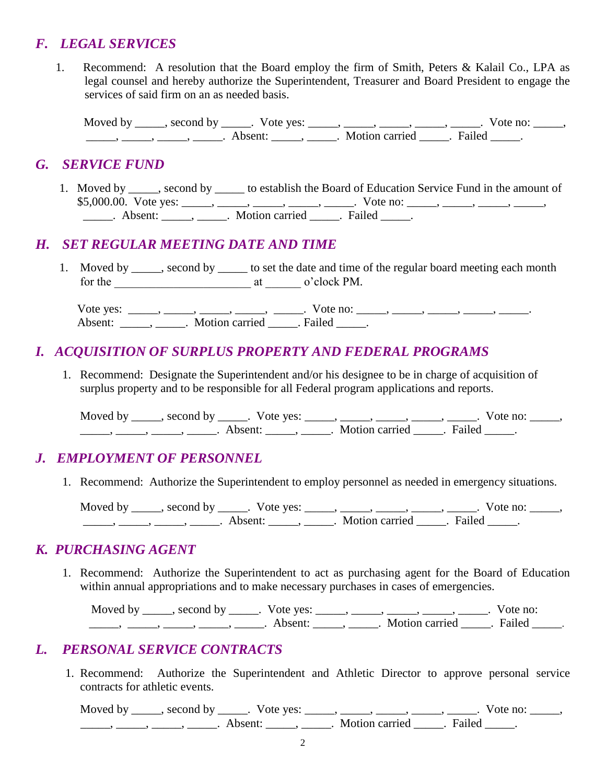## *F. LEGAL SERVICES*

1. Recommend: A resolution that the Board employ the firm of Smith, Peters & Kalail Co., LPA as legal counsel and hereby authorize the Superintendent, Treasurer and Board President to engage the services of said firm on an as needed basis.

Moved by \_\_\_\_\_, second by \_\_\_\_\_. Vote yes: \_\_\_\_\_, \_\_\_\_\_, \_\_\_\_\_, \_\_\_\_\_, \_\_\_\_\_. Vote no: \_\_\_\_\_,  $\frac{1}{\sqrt{2}}$   $\frac{1}{\sqrt{2}}$   $\frac{1}{\sqrt{2}}$   $\frac{1}{\sqrt{2}}$   $\frac{1}{\sqrt{2}}$   $\frac{1}{\sqrt{2}}$   $\frac{1}{\sqrt{2}}$   $\frac{1}{\sqrt{2}}$   $\frac{1}{\sqrt{2}}$   $\frac{1}{\sqrt{2}}$   $\frac{1}{\sqrt{2}}$   $\frac{1}{\sqrt{2}}$   $\frac{1}{\sqrt{2}}$   $\frac{1}{\sqrt{2}}$   $\frac{1}{\sqrt{2}}$   $\frac{1}{\sqrt{2}}$   $\frac{1}{\sqrt{2}}$ 

#### *G. SERVICE FUND*

1. Moved by \_\_\_\_\_, second by \_\_\_\_\_ to establish the Board of Education Service Fund in the amount of \$5,000.00. Vote yes: \_\_\_\_, \_\_\_\_, \_\_\_\_, \_\_\_\_, \_\_\_\_, Vote no: \_\_\_\_, \_\_\_\_, \_\_\_\_, \_\_\_\_, \_\_\_\_, \_\_\_\_\_\_. Absent: \_\_\_\_\_\_, \_\_\_\_\_\_. Motion carried \_\_\_\_\_. Failed \_\_\_\_\_.

## *H. SET REGULAR MEETING DATE AND TIME*

1. Moved by second by to set the date and time of the regular board meeting each month for the \_\_\_\_\_\_\_\_\_\_\_\_\_\_\_\_\_\_\_\_\_\_\_ at \_\_\_\_\_\_ o'clock PM.

Vote yes: \_\_\_\_\_, \_\_\_\_\_, \_\_\_\_\_, \_\_\_\_\_, Vote no: \_\_\_\_\_, \_\_\_\_\_, \_\_\_\_\_, \_\_\_\_\_, \_\_\_\_\_\_, Absent: \_\_\_\_\_\_\_\_\_\_\_. Motion carried \_\_\_\_\_\_. Failed \_\_\_\_\_\_.

## *I. ACQUISITION OF SURPLUS PROPERTY AND FEDERAL PROGRAMS*

1. Recommend: Designate the Superintendent and/or his designee to be in charge of acquisition of surplus property and to be responsible for all Federal program applications and reports.

Moved by \_\_\_\_\_, second by \_\_\_\_\_. Vote yes: \_\_\_\_\_, \_\_\_\_\_, \_\_\_\_\_, \_\_\_\_\_, \_\_\_\_\_. Vote no: \_\_\_\_\_, \_\_\_\_\_, \_\_\_\_\_, \_\_\_\_\_, \_\_\_\_\_. Absent: \_\_\_\_\_, \_\_\_\_\_. Motion carried \_\_\_\_\_. Failed \_\_\_\_\_.

## *J. EMPLOYMENT OF PERSONNEL*

1. Recommend: Authorize the Superintendent to employ personnel as needed in emergency situations.

Moved by \_\_\_\_\_, second by \_\_\_\_\_. Vote yes: \_\_\_\_\_, \_\_\_\_\_, \_\_\_\_\_, \_\_\_\_\_, \_\_\_\_\_. Vote no: \_\_\_\_\_,  $\frac{1}{\sqrt{2}}$ ,  $\frac{1}{\sqrt{2}}$ ,  $\frac{1}{\sqrt{2}}$ ,  $\frac{1}{\sqrt{2}}$ ,  $\frac{1}{\sqrt{2}}$ ,  $\frac{1}{\sqrt{2}}$ ,  $\frac{1}{\sqrt{2}}$ ,  $\frac{1}{\sqrt{2}}$ ,  $\frac{1}{\sqrt{2}}$ ,  $\frac{1}{\sqrt{2}}$ ,  $\frac{1}{\sqrt{2}}$ ,  $\frac{1}{\sqrt{2}}$ ,  $\frac{1}{\sqrt{2}}$ ,  $\frac{1}{\sqrt{2}}$ ,  $\frac{1}{\sqrt{2}}$ ,  $\frac{1}{\sqrt{2}}$ 

#### *K. PURCHASING AGENT*

1. Recommend: Authorize the Superintendent to act as purchasing agent for the Board of Education within annual appropriations and to make necessary purchases in cases of emergencies.

Moved by \_\_\_\_\_, second by \_\_\_\_\_. Vote yes: \_\_\_\_\_, \_\_\_\_\_, \_\_\_\_\_, \_\_\_\_\_, \_\_\_\_. Vote no: \_\_\_\_\_, \_\_\_\_\_, \_\_\_\_\_, \_\_\_\_\_, \_\_\_\_\_. Absent: \_\_\_\_\_, \_\_\_\_\_. Motion carried \_\_\_\_\_. Failed \_\_\_\_\_.

## *L. PERSONAL SERVICE CONTRACTS*

1. Recommend: Authorize the Superintendent and Athletic Director to approve personal service contracts for athletic events.

Moved by \_\_\_\_\_, second by \_\_\_\_\_. Vote yes: \_\_\_\_\_, \_\_\_\_\_, \_\_\_\_\_, \_\_\_\_\_, \_\_\_\_\_. Vote no: \_\_\_\_\_, ———, ———, ———, Absent: ———, ———. Motion carried ———. Failed ——.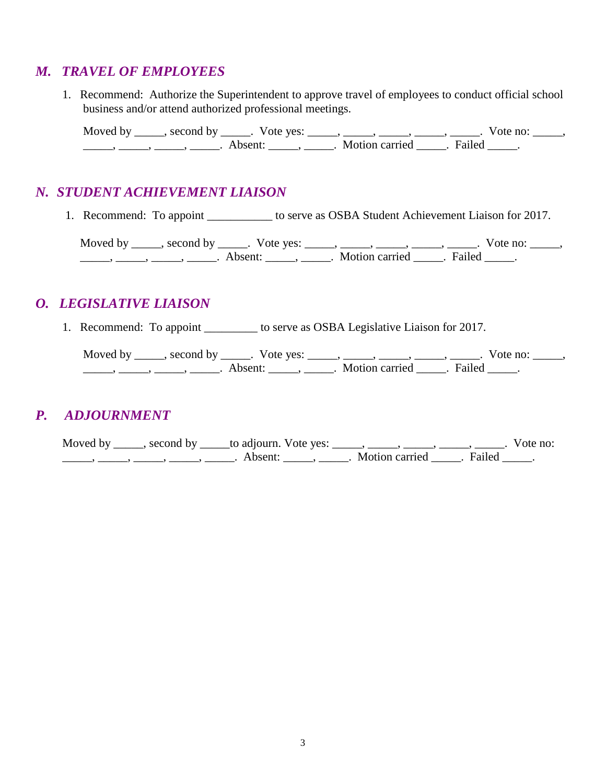## *M. TRAVEL OF EMPLOYEES*

 1. Recommend: Authorize the Superintendent to approve travel of employees to conduct official school business and/or attend authorized professional meetings.

Moved by \_\_\_\_\_, second by \_\_\_\_\_. Vote yes: \_\_\_\_\_, \_\_\_\_\_, \_\_\_\_\_, \_\_\_\_\_, \_\_\_\_\_. Vote no: \_\_\_\_\_, \_\_\_\_\_, \_\_\_\_\_, \_\_\_\_\_, \_\_\_\_\_. Absent: \_\_\_\_\_, \_\_\_\_\_. Motion carried \_\_\_\_\_. Failed \_\_\_\_\_.

## *N. STUDENT ACHIEVEMENT LIAISON*

1. Recommend: To appoint \_\_\_\_\_\_\_\_\_\_\_ to serve as OSBA Student Achievement Liaison for 2017.

Moved by \_\_\_\_\_, second by \_\_\_\_\_. Vote yes: \_\_\_\_\_, \_\_\_\_\_, \_\_\_\_\_, \_\_\_\_\_, \_\_\_\_\_. Vote no: \_\_\_\_\_, \_\_\_\_\_\_, \_\_\_\_\_, \_\_\_\_\_\_, Absent: \_\_\_\_\_, \_\_\_\_\_. Motion carried \_\_\_\_\_. Failed \_\_\_\_\_.

## *O. LEGISLATIVE LIAISON*

1. Recommend: To appoint \_\_\_\_\_\_\_\_\_\_ to serve as OSBA Legislative Liaison for 2017.

Moved by \_\_\_\_\_, second by \_\_\_\_\_. Vote yes: \_\_\_\_\_, \_\_\_\_\_, \_\_\_\_\_, \_\_\_\_\_, \_\_\_\_\_. Vote no: \_\_\_\_\_, \_\_\_\_\_\_, \_\_\_\_\_, \_\_\_\_\_\_, Absent: \_\_\_\_\_, \_\_\_\_\_. Motion carried \_\_\_\_\_. Failed \_\_\_\_\_.

## *P. ADJOURNMENT*

Moved by \_\_\_\_, second by \_\_\_\_\_to adjourn. Vote yes: \_\_\_\_\_, \_\_\_\_\_, \_\_\_\_\_, \_\_\_\_\_, \_\_\_\_\_. Vote no: \_\_\_\_\_, \_\_\_\_\_, \_\_\_\_\_, \_\_\_\_\_, \_\_\_\_\_. Absent: \_\_\_\_\_, \_\_\_\_\_. Motion carried \_\_\_\_\_. Failed \_\_\_\_\_.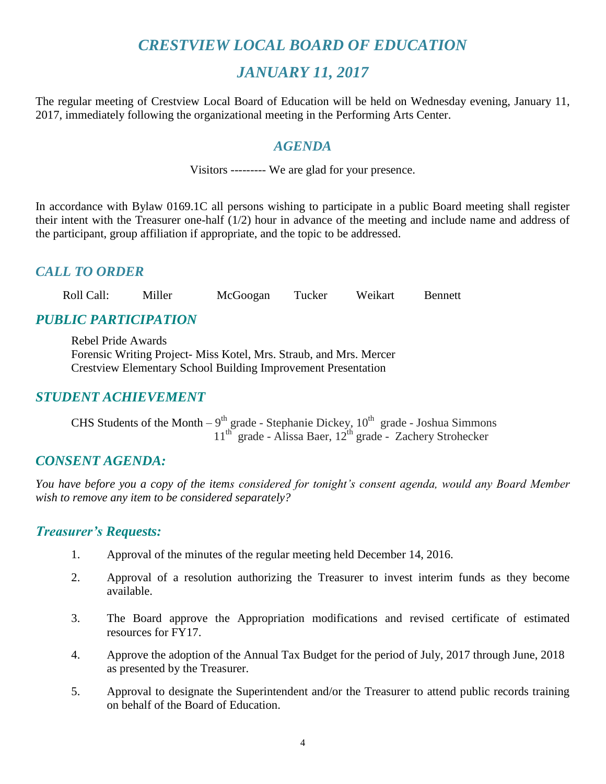# *CRESTVIEW LOCAL BOARD OF EDUCATION*

## *JANUARY 11, 2017*

The regular meeting of Crestview Local Board of Education will be held on Wednesday evening, January 11, 2017, immediately following the organizational meeting in the Performing Arts Center.

#### *AGENDA*

Visitors --------- We are glad for your presence.

In accordance with Bylaw 0169.1C all persons wishing to participate in a public Board meeting shall register their intent with the Treasurer one-half (1/2) hour in advance of the meeting and include name and address of the participant, group affiliation if appropriate, and the topic to be addressed.

#### *CALL TO ORDER*

Roll Call: Miller McGoogan Tucker Weikart Bennett

## *PUBLIC PARTICIPATION*

Rebel Pride Awards Forensic Writing Project- Miss Kotel, Mrs. Straub, and Mrs. Mercer Crestview Elementary School Building Improvement Presentation

#### *STUDENT ACHIEVEMENT*

CHS Students of the Month  $-9^{th}$  grade - Stephanie Dickey,  $10^{th}$  grade - Joshua Simmons 11<sup>th</sup> grade - Alissa Baer, 12<sup>th</sup> grade - Zachery Strohecker

#### *CONSENT AGENDA:*

*You have before you a copy of the items considered for tonight's consent agenda, would any Board Member wish to remove any item to be considered separately?*

#### *Treasurer's Requests:*

- 1. Approval of the minutes of the regular meeting held December 14, 2016.
- 2. Approval of a resolution authorizing the Treasurer to invest interim funds as they become available.
- 3. The Board approve the Appropriation modifications and revised certificate of estimated resources for FY17.
- 4. Approve the adoption of the Annual Tax Budget for the period of July, 2017 through June, 2018 as presented by the Treasurer.
- 5. Approval to designate the Superintendent and/or the Treasurer to attend public records training on behalf of the Board of Education.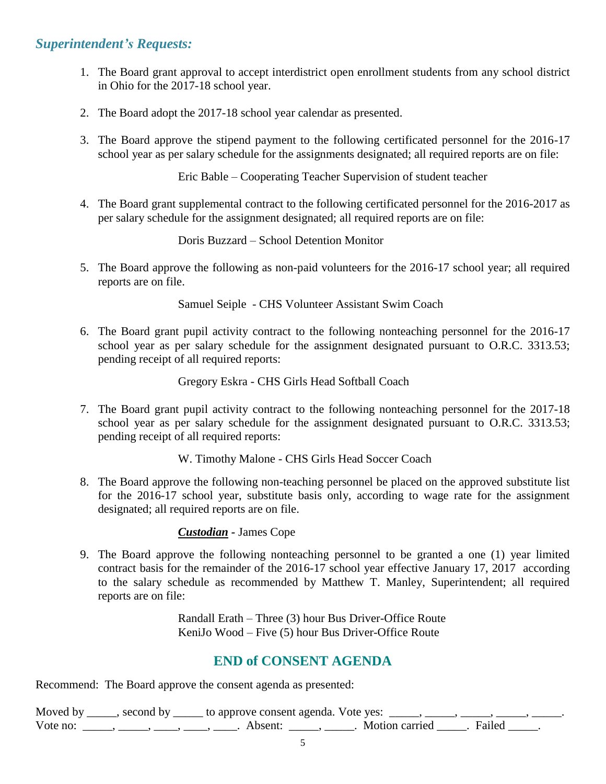#### *Superintendent's Requests:*

- 1. The Board grant approval to accept interdistrict open enrollment students from any school district in Ohio for the 2017-18 school year.
- 2. The Board adopt the 2017-18 school year calendar as presented.
- 3. The Board approve the stipend payment to the following certificated personnel for the 2016-17 school year as per salary schedule for the assignments designated; all required reports are on file:

Eric Bable – Cooperating Teacher Supervision of student teacher

4. The Board grant supplemental contract to the following certificated personnel for the 2016-2017 as per salary schedule for the assignment designated; all required reports are on file:

Doris Buzzard – School Detention Monitor

5. The Board approve the following as non-paid volunteers for the 2016-17 school year; all required reports are on file.

Samuel Seiple - CHS Volunteer Assistant Swim Coach

6. The Board grant pupil activity contract to the following nonteaching personnel for the 2016-17 school year as per salary schedule for the assignment designated pursuant to O.R.C. 3313.53; pending receipt of all required reports:

Gregory Eskra - CHS Girls Head Softball Coach

7. The Board grant pupil activity contract to the following nonteaching personnel for the 2017-18 school year as per salary schedule for the assignment designated pursuant to O.R.C. 3313.53; pending receipt of all required reports:

W. Timothy Malone - CHS Girls Head Soccer Coach

8. The Board approve the following non-teaching personnel be placed on the approved substitute list for the 2016-17 school year, substitute basis only, according to wage rate for the assignment designated; all required reports are on file.

*Custodian -* James Cope

9. The Board approve the following nonteaching personnel to be granted a one (1) year limited contract basis for the remainder of the 2016-17 school year effective January 17, 2017 according to the salary schedule as recommended by Matthew T. Manley, Superintendent; all required reports are on file:

> Randall Erath – Three (3) hour Bus Driver-Office Route KeniJo Wood – Five (5) hour Bus Driver-Office Route

#### **END of CONSENT AGENDA**

Recommend: The Board approve the consent agenda as presented:

Moved by  $\_\_\_\_\$ , second by  $\_\_\_\_$  to approve consent agenda. Vote yes:  $\_\_\_\_\_\_\_\_\_\_\_\_\_$ Vote no: \_\_\_\_\_, \_\_\_\_\_, \_\_\_\_, \_\_\_\_, \_\_\_\_. Absent: \_\_\_\_\_, \_\_\_\_\_. Motion carried \_\_\_\_\_. Failed \_\_\_\_\_.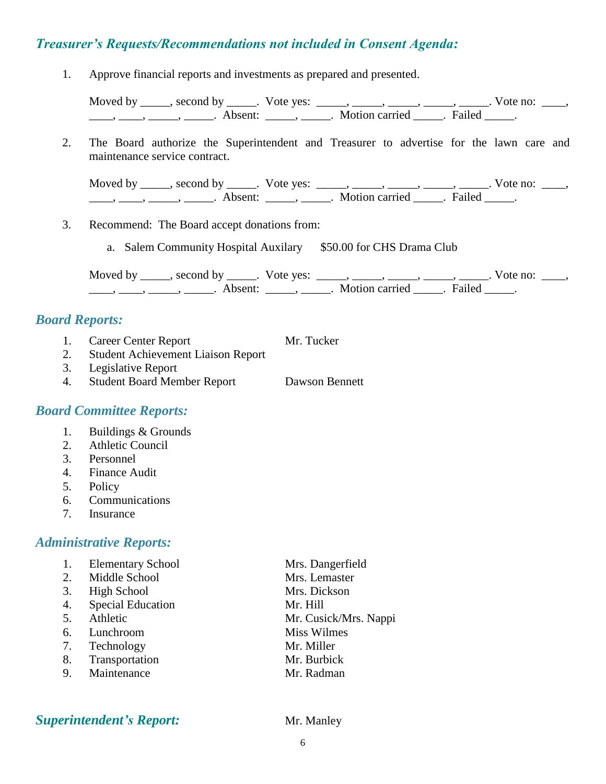## *Treasurer's Requests/Recommendations not included in Consent Agenda:*

1. Approve financial reports and investments as prepared and presented.

Moved by \_\_\_\_\_, second by \_\_\_\_\_. Vote yes: \_\_\_\_\_, \_\_\_\_\_, \_\_\_\_\_, \_\_\_\_\_, \_\_\_\_\_. Vote no: \_\_\_\_,  $\underline{\phantom{a}}$ ,  $\underline{\phantom{a}}$ ,  $\underline{\phantom{a}}$ ,  $\underline{\phantom{a}}$ ,  $\underline{\phantom{a}}$ ,  $\underline{\phantom{a}}$ ,  $\underline{\phantom{a}}$ ,  $\underline{\phantom{a}}$ ,  $\underline{\phantom{a}}$ ,  $\underline{\phantom{a}}$ ,  $\underline{\phantom{a}}$ ,  $\underline{\phantom{a}}$ ,  $\underline{\phantom{a}}$ ,  $\underline{\phantom{a}}$ ,  $\underline{\phantom{a}}$ ,  $\underline{\phantom{a}}$ ,  $\underline{\phantom{a}}$ ,

2. The Board authorize the Superintendent and Treasurer to advertise for the lawn care and maintenance service contract.

Moved by \_\_\_\_\_, second by \_\_\_\_\_. Vote yes:  $\_\_\_\_\_\_\_\_\_\_\_\_\_\_\_$  \_\_\_\_\_, \_\_\_\_\_, \_\_\_\_\_. Vote no:  $\_\_\_\_\_\_\$ \_\_\_\_\_, \_\_\_\_\_\_, \_\_\_\_\_\_\_. Absent: \_\_\_\_\_\_, \_\_\_\_\_\_. Motion carried \_\_\_\_\_\_. Failed \_\_\_\_\_.

- 3. Recommend: The Board accept donations from:
	- a. Salem Community Hospital Auxilary \$50.00 for CHS Drama Club

Moved by \_\_\_\_\_, second by \_\_\_\_\_. Vote yes:  $\_\_\_\_\_\_\_\_\_\_\_\_\_\_\_\_\_\_\_\_$  \_\_\_\_,  $\_\_\_\_\_\_\_\_\_\_\_\_\_\_\_\_\_$ . Vote no:  $\_\_\_\_\_\_\_\_$ \_\_\_\_\_, \_\_\_\_\_, \_\_\_\_\_\_\_. Absent: \_\_\_\_\_\_, \_\_\_\_\_\_. Motion carried \_\_\_\_\_. Failed \_\_\_\_\_.

#### *Board Reports:*

- 1. Career Center Report Mr. Tucker
- 2. Student Achievement Liaison Report
- 3. Legislative Report
- 4. Student Board Member Report Dawson Bennett

#### *Board Committee Reports:*

- 1. Buildings & Grounds
- 2. Athletic Council
- 3. Personnel
- 4. Finance Audit
- 5. Policy
- 6. Communications
- 7. Insurance

#### *Administrative Reports:*

|    | <b>Elementary School</b> | Mrs. Dangerfield      |
|----|--------------------------|-----------------------|
| 2. | Middle School            | Mrs. Lemaster         |
| 3. | High School              | Mrs. Dickson          |
| 4. | <b>Special Education</b> | Mr. Hill              |
| 5. | Athletic                 | Mr. Cusick/Mrs. Nappi |
| 6. | Lunchroom                | Miss Wilmes           |
| 7. | Technology               | Mr. Miller            |
| 8. | Transportation           | Mr. Burbick           |
| 9. | Maintenance              | Mr. Radman            |
|    |                          |                       |

#### **Superintendent's Report:** Mr. Manley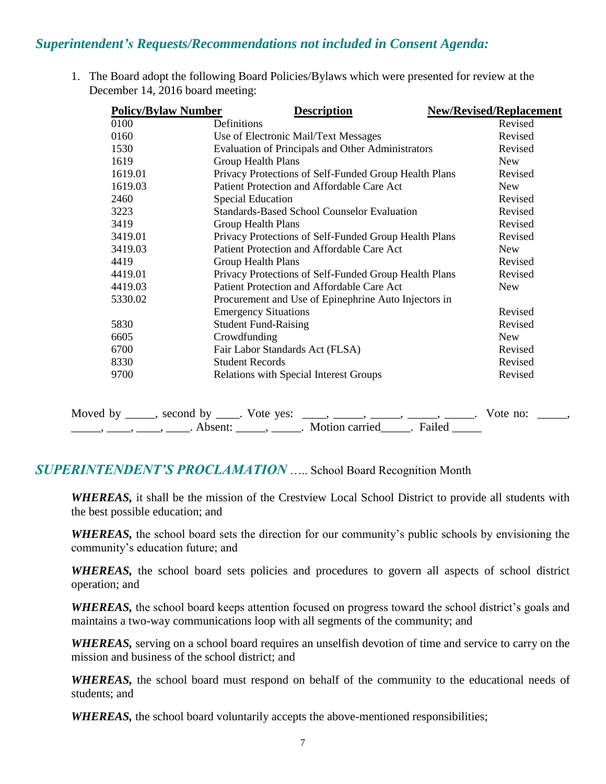#### *Superintendent's Requests/Recommendations not included in Consent Agenda:*

1. The Board adopt the following Board Policies/Bylaws which were presented for review at the December 14, 2016 board meeting:

| <b>Policy/Bylaw Number</b> | <b>Description</b>                                       | <b>New/Revised/Replacement</b> |  |
|----------------------------|----------------------------------------------------------|--------------------------------|--|
| 0100                       | Definitions                                              | Revised                        |  |
| 0160                       | Use of Electronic Mail/Text Messages                     | Revised                        |  |
| 1530                       | <b>Evaluation of Principals and Other Administrators</b> | Revised                        |  |
| 1619                       | <b>Group Health Plans</b>                                | <b>New</b>                     |  |
| 1619.01                    | Privacy Protections of Self-Funded Group Health Plans    | Revised                        |  |
| 1619.03                    | Patient Protection and Affordable Care Act               | <b>New</b>                     |  |
| 2460                       | <b>Special Education</b>                                 | Revised                        |  |
| 3223                       | <b>Standards-Based School Counselor Evaluation</b>       | Revised                        |  |
| 3419                       | <b>Group Health Plans</b>                                | Revised                        |  |
| 3419.01                    | Privacy Protections of Self-Funded Group Health Plans    | Revised                        |  |
| 3419.03                    | Patient Protection and Affordable Care Act               | <b>New</b>                     |  |
| 4419                       | <b>Group Health Plans</b>                                | Revised                        |  |
| 4419.01                    | Privacy Protections of Self-Funded Group Health Plans    | Revised                        |  |
| 4419.03                    | Patient Protection and Affordable Care Act               | <b>New</b>                     |  |
| 5330.02                    | Procurement and Use of Epinephrine Auto Injectors in     |                                |  |
|                            | <b>Emergency Situations</b>                              | Revised                        |  |
| 5830                       | <b>Student Fund-Raising</b>                              | Revised                        |  |
| 6605                       | Crowdfunding                                             | <b>New</b>                     |  |
| 6700                       | Fair Labor Standards Act (FLSA)                          | Revised                        |  |
| 8330                       | <b>Student Records</b>                                   | Revised                        |  |
| 9700                       | <b>Relations with Special Interest Groups</b>            | Revised                        |  |

| Moved by second by . Vote yes: |                     |                                              |        | V ote -<br>no: |  |
|--------------------------------|---------------------|----------------------------------------------|--------|----------------|--|
|                                | Absent <sup>.</sup> | $\blacksquare$ Motion carried $\blacksquare$ | Failed |                |  |

#### *SUPERINTENDENT'S PROCLAMATION* ….. School Board Recognition Month

*WHEREAS,* it shall be the mission of the Crestview Local School District to provide all students with the best possible education; and

*WHEREAS,* the school board sets the direction for our community's public schools by envisioning the community's education future; and

*WHEREAS,* the school board sets policies and procedures to govern all aspects of school district operation; and

*WHEREAS,* the school board keeps attention focused on progress toward the school district's goals and maintains a two-way communications loop with all segments of the community; and

*WHEREAS,* serving on a school board requires an unselfish devotion of time and service to carry on the mission and business of the school district; and

*WHEREAS,* the school board must respond on behalf of the community to the educational needs of students; and

*WHEREAS,* the school board voluntarily accepts the above-mentioned responsibilities;